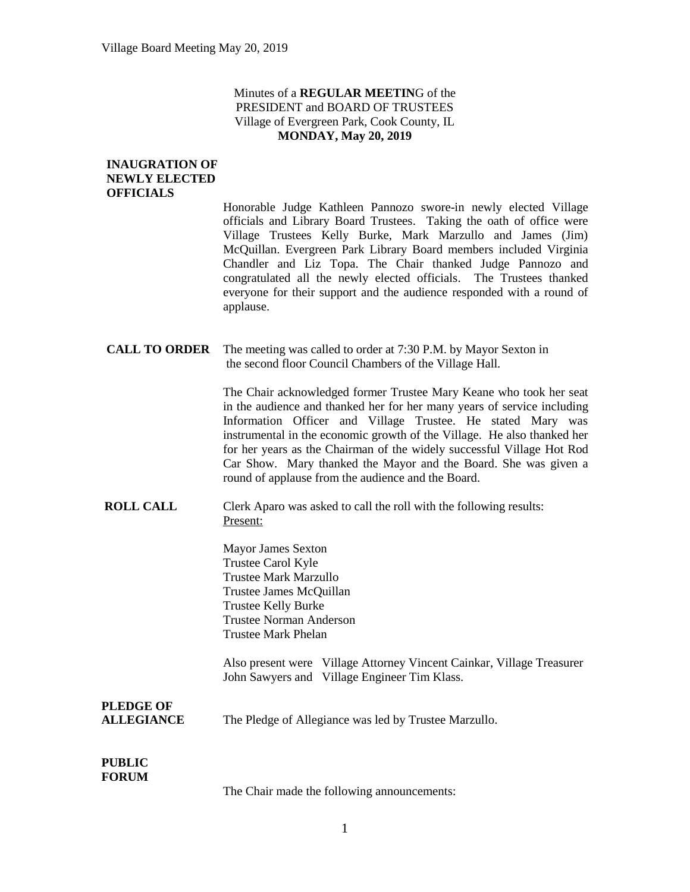## Minutes of a **REGULAR MEETIN**G of the PRESIDENT and BOARD OF TRUSTEES Village of Evergreen Park, Cook County, IL **MONDAY, May 20, 2019**

## **INAUGRATION OF NEWLY ELECTED OFFICIALS**

Honorable Judge Kathleen Pannozo swore-in newly elected Village officials and Library Board Trustees. Taking the oath of office were Village Trustees Kelly Burke, Mark Marzullo and James (Jim) McQuillan. Evergreen Park Library Board members included Virginia Chandler and Liz Topa. The Chair thanked Judge Pannozo and congratulated all the newly elected officials. The Trustees thanked everyone for their support and the audience responded with a round of applause.

**CALL TO ORDER** The meeting was called to order at 7:30 P.M. by Mayor Sexton in the second floor Council Chambers of the Village Hall.

> The Chair acknowledged former Trustee Mary Keane who took her seat in the audience and thanked her for her many years of service including Information Officer and Village Trustee. He stated Mary was instrumental in the economic growth of the Village. He also thanked her for her years as the Chairman of the widely successful Village Hot Rod Car Show. Mary thanked the Mayor and the Board. She was given a round of applause from the audience and the Board.

**ROLL CALL** Clerk Aparo was asked to call the roll with the following results: Present:

> Mayor James Sexton Trustee Carol Kyle Trustee Mark Marzullo Trustee James McQuillan Trustee Kelly Burke Trustee Norman Anderson Trustee Mark Phelan

Also present were Village Attorney Vincent Cainkar, Village Treasurer John Sawyers and Village Engineer Tim Klass.

**PLEDGE OF ALLEGIANCE** The Pledge of Allegiance was led by Trustee Marzullo.

#### **PUBLIC FORUM**

The Chair made the following announcements: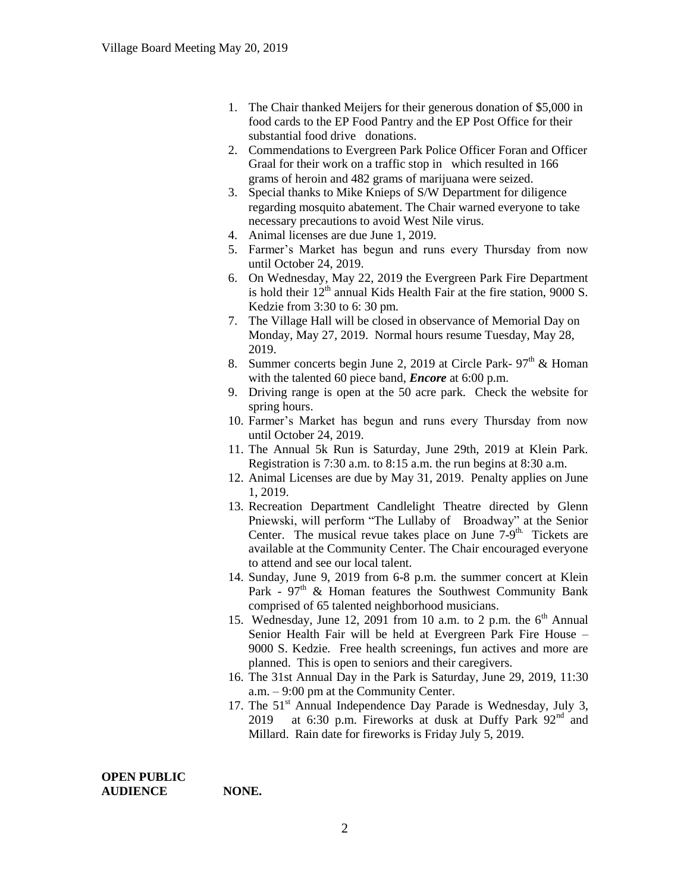- 1. The Chair thanked Meijers for their generous donation of \$5,000 in food cards to the EP Food Pantry and the EP Post Office for their substantial food drive donations.
- 2. Commendations to Evergreen Park Police Officer Foran and Officer Graal for their work on a traffic stop in which resulted in 166 grams of heroin and 482 grams of marijuana were seized.
- 3. Special thanks to Mike Knieps of S/W Department for diligence regarding mosquito abatement. The Chair warned everyone to take necessary precautions to avoid West Nile virus.
- 4. Animal licenses are due June 1, 2019.
- 5. Farmer's Market has begun and runs every Thursday from now until October 24, 2019.
- 6. On Wednesday, May 22, 2019 the Evergreen Park Fire Department is hold their  $12<sup>th</sup>$  annual Kids Health Fair at the fire station, 9000 S. Kedzie from 3:30 to 6: 30 pm.
- 7. The Village Hall will be closed in observance of Memorial Day on Monday, May 27, 2019. Normal hours resume Tuesday, May 28, 2019.
- 8. Summer concerts begin June 2, 2019 at Circle Park-  $97<sup>th</sup>$  & Homan with the talented 60 piece band, *Encore* at 6:00 p.m.
- 9. Driving range is open at the 50 acre park. Check the website for spring hours.
- 10. Farmer's Market has begun and runs every Thursday from now until October 24, 2019.
- 11. The Annual 5k Run is Saturday, June 29th, 2019 at Klein Park. Registration is 7:30 a.m. to 8:15 a.m. the run begins at 8:30 a.m.
- 12. Animal Licenses are due by May 31, 2019. Penalty applies on June 1, 2019.
- 13. Recreation Department Candlelight Theatre directed by Glenn Pniewski, will perform "The Lullaby of Broadway" at the Senior Center. The musical revue takes place on June  $7-9$ <sup>th.</sup> Tickets are available at the Community Center. The Chair encouraged everyone to attend and see our local talent.
- 14. Sunday, June 9, 2019 from 6-8 p.m. the summer concert at Klein Park -  $97<sup>th</sup>$  & Homan features the Southwest Community Bank comprised of 65 talented neighborhood musicians.
- 15. Wednesday, June 12, 2091 from 10 a.m. to 2 p.m. the  $6<sup>th</sup>$  Annual Senior Health Fair will be held at Evergreen Park Fire House – 9000 S. Kedzie. Free health screenings, fun actives and more are planned. This is open to seniors and their caregivers.
- 16. The 31st Annual Day in the Park is Saturday, June 29, 2019, 11:30 a.m. – 9:00 pm at the Community Center.
- 17. The  $51<sup>st</sup>$  Annual Independence Day Parade is Wednesday, July 3, 2019 at 6:30 p.m. Fireworks at dusk at Duffy Park  $92<sup>nd</sup>$  and Millard. Rain date for fireworks is Friday July 5, 2019.

**OPEN PUBLIC AUDIENCE NONE.**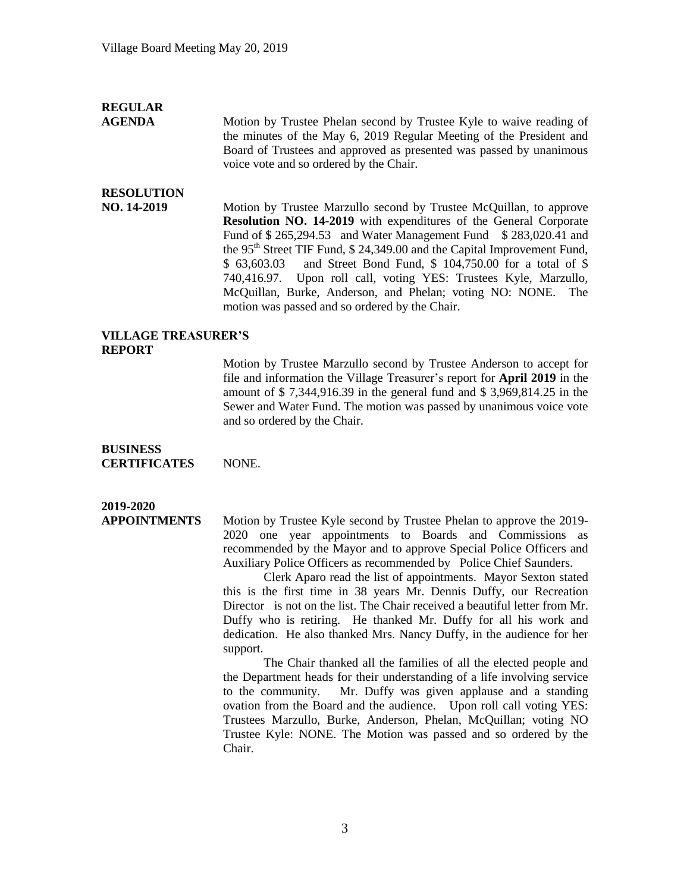## **REGULAR**

**AGENDA** Motion by Trustee Phelan second by Trustee Kyle to waive reading of the minutes of the May 6, 2019 Regular Meeting of the President and Board of Trustees and approved as presented was passed by unanimous voice vote and so ordered by the Chair.

## **RESOLUTION**

**NO. 14-2019** Motion by Trustee Marzullo second by Trustee McQuillan, to approve **Resolution NO. 14-2019** with expenditures of the General Corporate Fund of \$265,294.53 and Water Management Fund \$283,020.41 and the 95<sup>th</sup> Street TIF Fund, \$ 24,349.00 and the Capital Improvement Fund, \$ 63,603.03 and Street Bond Fund, \$ 104,750.00 for a total of \$ 740,416.97. Upon roll call, voting YES: Trustees Kyle, Marzullo, McQuillan, Burke, Anderson, and Phelan; voting NO: NONE. The motion was passed and so ordered by the Chair.

### **VILLAGE TREASURER'S REPORT**

Motion by Trustee Marzullo second by Trustee Anderson to accept for file and information the Village Treasurer's report for **April 2019** in the amount of \$ 7,344,916.39 in the general fund and \$ 3,969,814.25 in the Sewer and Water Fund. The motion was passed by unanimous voice vote and so ordered by the Chair.

## **BUSINESS CERTIFICATES** NONE.

# **2019-2020**

**APPOINTMENTS** Motion by Trustee Kyle second by Trustee Phelan to approve the 2019- 2020 one year appointments to Boards and Commissions as recommended by the Mayor and to approve Special Police Officers and Auxiliary Police Officers as recommended by Police Chief Saunders.

> Clerk Aparo read the list of appointments. Mayor Sexton stated this is the first time in 38 years Mr. Dennis Duffy, our Recreation Director is not on the list. The Chair received a beautiful letter from Mr. Duffy who is retiring. He thanked Mr. Duffy for all his work and dedication. He also thanked Mrs. Nancy Duffy, in the audience for her support.

> The Chair thanked all the families of all the elected people and the Department heads for their understanding of a life involving service to the community. Mr. Duffy was given applause and a standing ovation from the Board and the audience. Upon roll call voting YES: Trustees Marzullo, Burke, Anderson, Phelan, McQuillan; voting NO Trustee Kyle: NONE. The Motion was passed and so ordered by the Chair.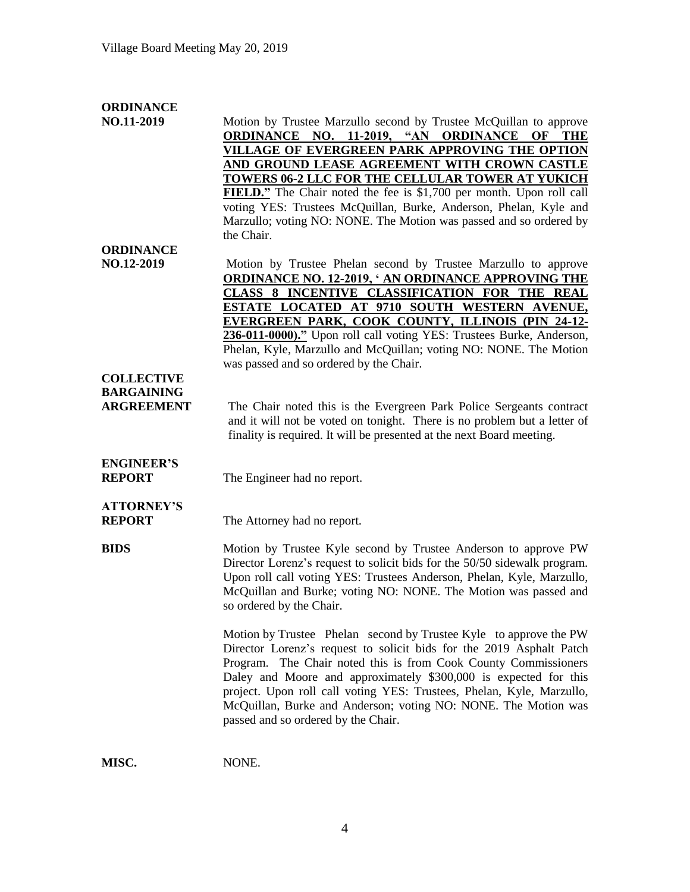| <b>ORDINANCE</b>  |                                                                           |
|-------------------|---------------------------------------------------------------------------|
| NO.11-2019        | Motion by Trustee Marzullo second by Trustee McQuillan to approve         |
|                   | ORDINANCE NO. 11-2019, "AN ORDINANCE OF THE                               |
|                   | VILLAGE OF EVERGREEN PARK APPROVING THE OPTION                            |
|                   | AND GROUND LEASE AGREEMENT WITH CROWN CASTLE                              |
|                   | TOWERS 06-2 LLC FOR THE CELLULAR TOWER AT YUKICH                          |
|                   | FIELD." The Chair noted the fee is \$1,700 per month. Upon roll call      |
|                   | voting YES: Trustees McQuillan, Burke, Anderson, Phelan, Kyle and         |
|                   | Marzullo; voting NO: NONE. The Motion was passed and so ordered by        |
|                   | the Chair.                                                                |
| <b>ORDINANCE</b>  |                                                                           |
| NO.12-2019        | Motion by Trustee Phelan second by Trustee Marzullo to approve            |
|                   | <b>ORDINANCE NO. 12-2019, ' AN ORDINANCE APPROVING THE</b>                |
|                   | CLASS 8 INCENTIVE CLASSIFICATION FOR THE REAL                             |
|                   | ESTATE LOCATED AT 9710 SOUTH WESTERN AVENUE,                              |
|                   | EVERGREEN PARK, COOK COUNTY, ILLINOIS (PIN 24-12-                         |
|                   | 236-011-0000)." Upon roll call voting YES: Trustees Burke, Anderson,      |
|                   | Phelan, Kyle, Marzullo and McQuillan; voting NO: NONE. The Motion         |
|                   | was passed and so ordered by the Chair.                                   |
| <b>COLLECTIVE</b> |                                                                           |
| <b>BARGAINING</b> |                                                                           |
| <b>ARGREEMENT</b> | The Chair noted this is the Evergreen Park Police Sergeants contract      |
|                   | and it will not be voted on tonight. There is no problem but a letter of  |
|                   | finality is required. It will be presented at the next Board meeting.     |
|                   |                                                                           |
| <b>ENGINEER'S</b> |                                                                           |
| <b>REPORT</b>     | The Engineer had no report.                                               |
|                   |                                                                           |
| <b>ATTORNEY'S</b> |                                                                           |
| <b>REPORT</b>     | The Attorney had no report.                                               |
|                   |                                                                           |
| <b>BIDS</b>       | Motion by Trustee Kyle second by Trustee Anderson to approve PW           |
|                   | Director Lorenz's request to solicit bids for the 50/50 sidewalk program. |
|                   | Upon roll call voting YES: Trustees Anderson, Phelan, Kyle, Marzullo,     |
|                   | McQuillan and Burke; voting NO: NONE. The Motion was passed and           |
|                   | so ordered by the Chair.                                                  |
|                   |                                                                           |
|                   | Motion by Trustee Phelan second by Trustee Kyle to approve the PW         |
|                   | Director Lorenz's request to solicit bids for the 2019 Asphalt Patch      |
|                   | Program. The Chair noted this is from Cook County Commissioners           |
|                   | Daley and Moore and approximately \$300,000 is expected for this          |
|                   | project. Upon roll call voting YES: Trustees, Phelan, Kyle, Marzullo,     |
|                   | McQuillan, Burke and Anderson; voting NO: NONE. The Motion was            |
|                   | passed and so ordered by the Chair.                                       |
|                   |                                                                           |
|                   |                                                                           |

**MISC.** NONE.